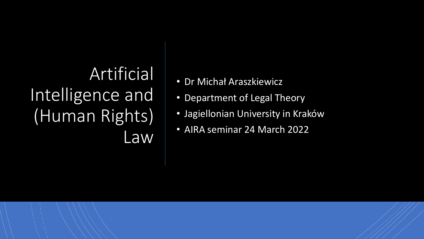## Artificial Intelligence and (Human Rights) **Law**

- Dr Michał Araszkiewicz
- Department of Legal Theory
- Jagiellonian University in Kraków
- AIRA seminar 24 March 2022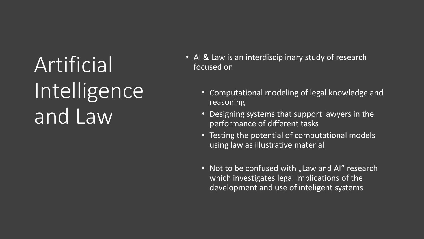Artificial Intelligence and Law

- AI & Law is an interdisciplinary study of research focused on
	- Computational modeling of legal knowledge and reasoning
	- Designing systems that support lawyers in the performance of different tasks
	- Testing the potential of computational models using law as illustrative material
	- Not to be confused with "Law and AI" research which investigates legal implications of the development and use of inteligent systems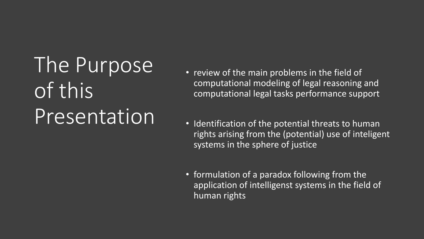The Purpose of this **Presentation** 

- review of the main problems in the field of computational modeling of legal reasoning and computational legal tasks performance support
- Identification of the potential threats to human rights arising from the (potential) use of inteligent systems in the sphere of justice
- formulation of a paradox following from the application of intelligenst systems in the field of human rights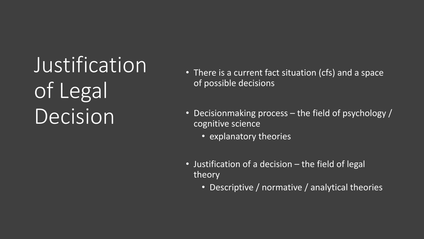Justification of Legal Decision

- There is a current fact situation (cfs) and a space of possible decisions
- Decisionmaking process the field of psychology / cognitive science
	- explanatory theories
- Justification of a decision the field of legal theory
	- Descriptive / normative / analytical theories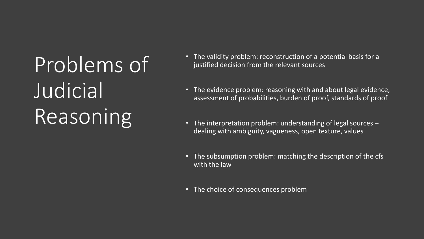Problems of Judicial Reasoning

- The validity problem: reconstruction of a potential basis for a justified decision from the relevant sources
- The evidence problem: reasoning with and about legal evidence, assessment of probabilities, burden of proof, standards of proof
- The interpretation problem: understanding of legal sources dealing with ambiguity, vagueness, open texture, values
- The subsumption problem: matching the description of the cfs with the law
- The choice of consequences problem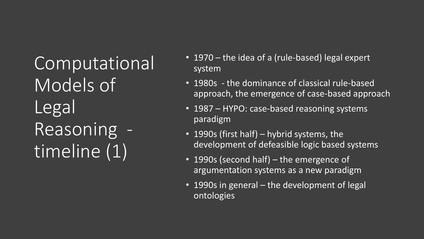Computational Models of Legal Reasoning timeline (1)

- 1970 the idea of a (rule-based) legal expert system
- 1980s the dominance of classical rule-based approach, the emergence of case-based approach
- 1987 HYPO: case-based reasoning systems paradigm
- 1990s (first half) hybrid systems, the development of defeasible logic based systems
- 1990s (second half) the emergence of argumentation systems as a new paradigm
- 1990s in general the development of legal ontologies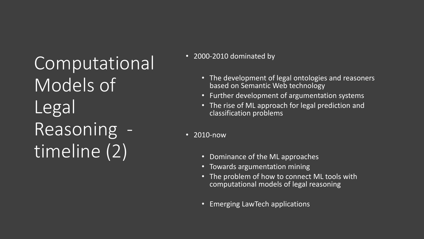Computational Models of Legal Reasoning timeline (2)

• 2000-2010 dominated by

- The development of legal ontologies and reasoners based on Semantic Web technology
- Further development of argumentation systems
- The rise of ML approach for legal prediction and classification problems
- 2010-now
	- Dominance of the ML approaches
	- Towards argumentation mining
	- The problem of how to connect ML tools with computational models of legal reasoning
	- Emerging LawTech applications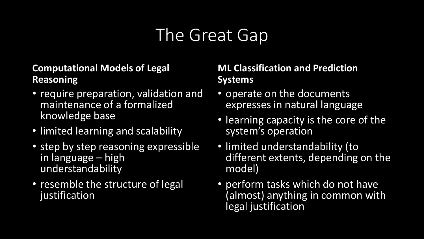### The Great Gap

#### **Computational Models of Legal Reasoning**

- require preparation, validation and maintenance of a formalized knowledge base
- limited learning and scalability
- step by step reasoning expressible in language – high understandability
- resemble the structure of legal justification

#### **ML Classification and Prediction Systems**

- operate on the documents expresses in natural language
- learning capacity is the core of the system's operation
- limited understandability (to different extents, depending on the model)
- perform tasks which do not have (almost) anything in common with legal justification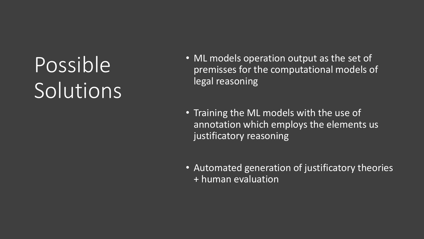# Possible Solutions

- ML models operation output as the set of premisses for the computational models of legal reasoning
- Training the ML models with the use of annotation which employs the elements us justificatory reasoning
- Automated generation of justificatory theories  $+$  human evaluation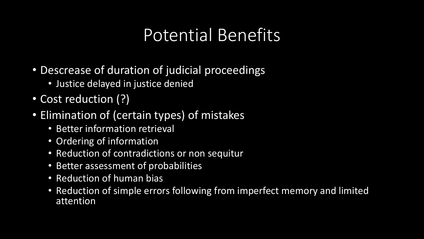#### Potential Benefits

- Descrease of duration of judicial proceedings
	- Justice delayed in justice denied
- Cost reduction (?)
- Elimination of (certain types) of mistakes
	- Better information retrieval
	- Ordering of information
	- Reduction of contradictions or non sequitur
	- Better assessment of probabilities
	- Reduction of human bias
	- Reduction of simple errors following from imperfect memory and limited attention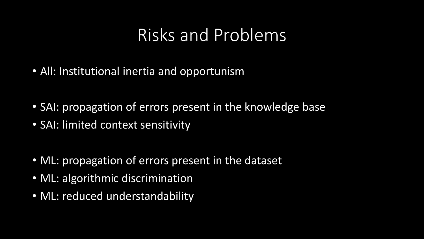#### Risks and Problems

- All: Institutional inertia and opportunism
- SAI: propagation of errors present in the knowledge base
- SAI: limited context sensitivity
- ML: propagation of errors present in the dataset
- ML: algorithmic discrimination
- ML: reduced understandability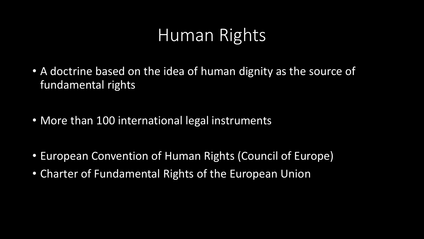#### Human Rights

- A doctrine based on the idea of human dignity as the source of fundamental rights
- More than 100 international legal instruments
- European Convention of Human Rights (Council of Europe)
- Charter of Fundamental Rights of the European Union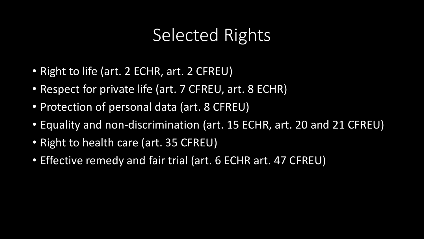#### Selected Rights

- Right to life (art. 2 ECHR, art. 2 CFREU)
- Respect for private life (art. 7 CFREU, art. 8 ECHR)
- Protection of personal data (art. 8 CFREU)
- Equality and non-discrimination (art. 15 ECHR, art. 20 and 21 CFREU)
- Right to health care (art. 35 CFREU)
- Effective remedy and fair trial (art. 6 ECHR art. 47 CFREU)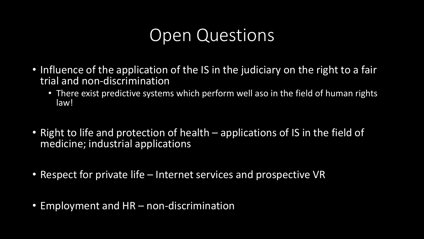#### Open Questions

- Influence of the application of the IS in the judiciary on the right to a fair trial and non-discrimination
	- There exist predictive systems which perform well aso in the field of human rights law!
- Right to life and protection of health applications of IS in the field of medicine; industrial applications
- Respect for private life Internet services and prospective VR
- Employment and HR non-discrimination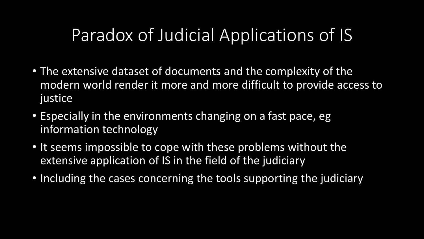#### Paradox of Judicial Applications of IS

- The extensive dataset of documents and the complexity of the modern world render it more and more difficult to provide access to justice
- Especially in the environments changing on a fast pace, eg information technology
- It seems impossible to cope with these problems without the extensive application of IS in the field of the judiciary
- Including the cases concerning the tools supporting the judiciary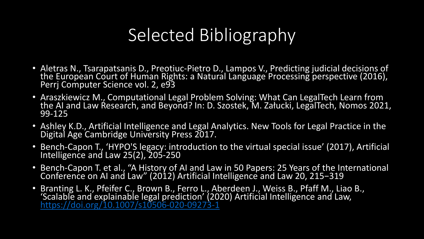### Selected Bibliography

- Aletras N., Tsarapatsanis D., Preotiuc-Pietro D., Lampos V., Predicting judicial decisions of the European Court of Human Rights: a Natural Language Processing perspective (2016), Perrj Computer Science vol. 2, e93
- Araszkiewicz M., Computational Legal Problem Solving: What Can LegalTech Learn from the AI and Law Research, and Beyond? In: D. Szostek, M. Załucki, LegalTech, Nomos 2021, 99-125
- Ashley K.D., Artificial Intelligence and Legal Analytics. New Tools for Legal Practice in the Digital Age Cambridge University Press 2017.
- Bench-Capon T., 'HYPO'S legacy: introduction to the virtual special issue' (2017), Artificial Intelligence and Law 25(2), 205-250
- Bench-Capon T. et al., "A History of AI and Law in 50 Papers: 25 Years of the International Conference on AI and Law" (2012) Artificial Intelligence and Law 20, 215−319
- Branting L. K., Pfeifer C., Brown B., Ferro L., Aberdeen J., Weiss B., Pfaff M., Liao B., 'Scalable and explainable legal prediction' (2020) Artificial Intelligence and Law, <https://doi.org/10.1007/s10506-020-09273-1>